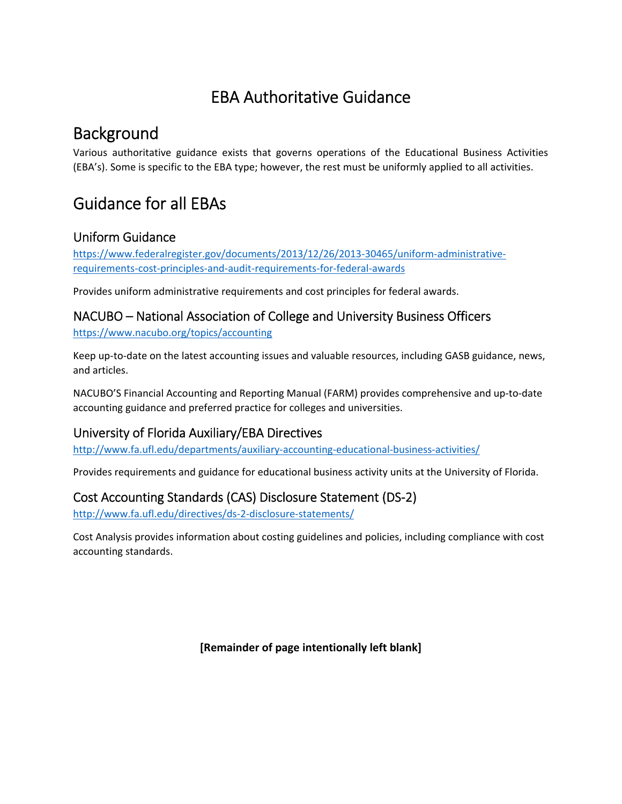# EBA Authoritative Guidance

## Background

Various authoritative guidance exists that governs operations of the Educational Business Activities (EBA's). Some is specific to the EBA type; however, the rest must be uniformly applied to all activities.

## Guidance for all EBAs

#### Uniform Guidance

https://www.federalregister.gov/documents/2013/12/26/2013-30465/uniform-administrativerequirements‐cost‐principles‐and‐audit‐requirements‐for‐federal‐awards

Provides uniform administrative requirements and cost principles for federal awards.

#### NACUBO – National Association of College and University Business Officers

https://www.nacubo.org/topics/accounting

Keep up-to-date on the latest accounting issues and valuable resources, including GASB guidance, news, and articles.

NACUBO'S Financial Accounting and Reporting Manual (FARM) provides comprehensive and up‐to‐date accounting guidance and preferred practice for colleges and universities.

### University of Florida Auxiliary/EBA Directives

http://www.fa.ufl.edu/departments/auxiliary-accounting-educational-business-activities/

Provides requirements and guidance for educational business activity units at the University of Florida.

### Cost Accounting Standards (CAS) Disclosure Statement (DS‐2)

http://www.fa.ufl.edu/directives/ds‐2‐disclosure‐statements/

Cost Analysis provides information about costing guidelines and policies, including compliance with cost accounting standards.

**[Remainder of page intentionally left blank]**